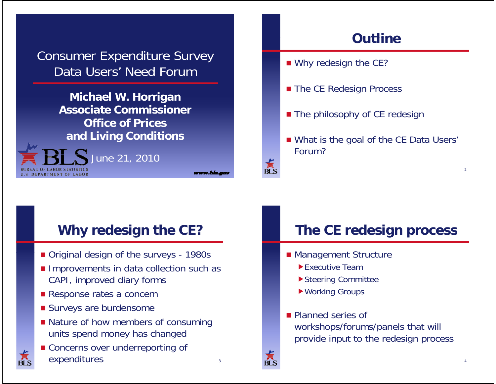Consumer Expenditure Survey Data Users' Need Forum

> **Michael W. Horrigan Associate Commissione Commissioner Office of Prices and Living Conditions**



**Outline**

- $\blacksquare$  Why redesign the CE?
- **The CE Redesign Process**
- **The philosophy of CE redesign**
- What is the goal of the CE Data Users' Forum?

#### **Why redesign the CE?**

- Original design of the surveys 1980s
- **Improvements in data collection such as** CAPI, improved diary forms
- Response rates a concern
- **Surveys are burdensome**
- **Nature of how members of consuming** units spend money has changed
- **E** Concerns over underreporting of expenditures and a series of  $\frac{3}{3}$

### **The CE redesign process**

- **Management Structure** 
	- **Executive Team**
	- ▶ Steering Committee
	- Working Groups
- **Planned series of** workshops/forums/panels that will provide input to the redesign process



 $\overline{\mathbb{R}}$ 

www.bis.c

 $\overline{2}$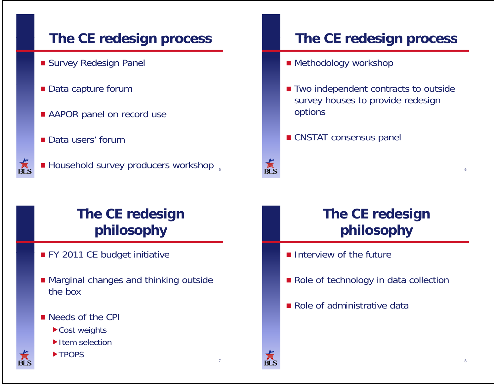#### **The CE redesign process The CE redesign process Survey Redesign Panel** ■ Methodology workshop ■ Data capture forum ■ Two independent contracts to outside survey houses to provide redesign options **AAPOR panel on record use CNSTAT consensus panel** ■ Data users' forum 京<br>BLS  $\blacksquare$  Household survey producers workshop  $\frac{1}{5}$ 6ŔĹS **The CE redesign The CE redesign philosophy philosophy** ■ FY 2011 CE budget initiative **Interview of the future**  $\blacksquare$  Marginal changes and thinking outside Role of technology in data collection the box■ Role of administrative data ■ Needs of the CPI ▶ Cost weights Item selection **TPOPS** 78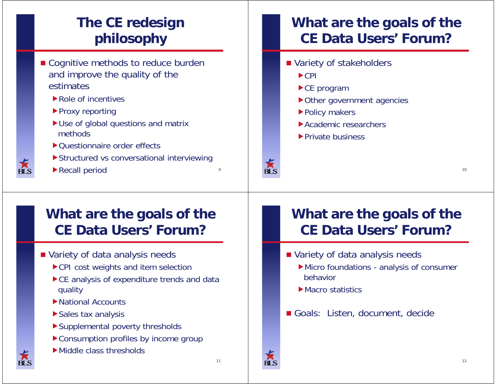# **The CE redesign philosophy**

- Cognitive methods to reduce burden and improve the quality of the estimates
	- Role of incentives
	- ▶ Proxy reporting
	- Use of global questions and matrix methods
	- ▶ Questionnaire order effects
	- Structured vs conversational interviewing
	- Recall period <sup>9</sup>

### **What are the goals of the CE Data Users Users' Forum?**

- Variety of stakeholders
	- $\blacktriangleright$  CPI
	- ▶ CE program
	- ▶ Other government agencies
	- ▶ Policy makers
	- Academic researchers
	- ▶ Private business



#### **What are the goals of the CE Data Users Users' Forum?**

- **Nariety of data analysis needs** 
	- ▶ CPI cost weights and item selection
	- $\blacktriangleright$  CE analysis of expenditure trends and data quality
	- $\blacktriangleright$  National Accounts
	- Sales tax analysis
	- Supplemental poverty thresholds
	- ▶ Consumption profiles by income group
	- Middle class thresholds

## **What are the goals of the CE Data Users Users' Forum?**

- **Nariety of data analysis needs** 
	- Micro foundations analysis of consumer behavior
	- **Macro statistics**
- Goals: Listen, document, decide



 $10$